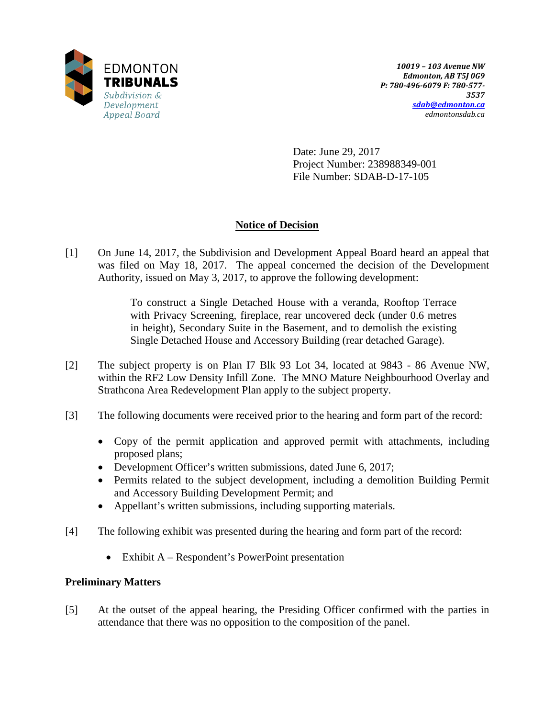

Date: June 29, 2017 Project Number: 238988349-001 File Number: SDAB-D-17-105

# **Notice of Decision**

[1] On June 14, 2017, the Subdivision and Development Appeal Board heard an appeal that was filed on May 18, 2017. The appeal concerned the decision of the Development Authority, issued on May 3, 2017, to approve the following development:

> To construct a Single Detached House with a veranda, Rooftop Terrace with Privacy Screening, fireplace, rear uncovered deck (under 0.6 metres in height), Secondary Suite in the Basement, and to demolish the existing Single Detached House and Accessory Building (rear detached Garage).

- [2] The subject property is on Plan I7 Blk 93 Lot 34, located at 9843 86 Avenue NW, within the RF2 Low Density Infill Zone. The MNO Mature Neighbourhood Overlay and Strathcona Area Redevelopment Plan apply to the subject property.
- [3] The following documents were received prior to the hearing and form part of the record:
	- Copy of the permit application and approved permit with attachments, including proposed plans;
	- Development Officer's written submissions, dated June 6, 2017;
	- Permits related to the subject development, including a demolition Building Permit and Accessory Building Development Permit; and
	- Appellant's written submissions, including supporting materials.
- [4] The following exhibit was presented during the hearing and form part of the record:
	- Exhibit A Respondent's PowerPoint presentation

## **Preliminary Matters**

[5] At the outset of the appeal hearing, the Presiding Officer confirmed with the parties in attendance that there was no opposition to the composition of the panel.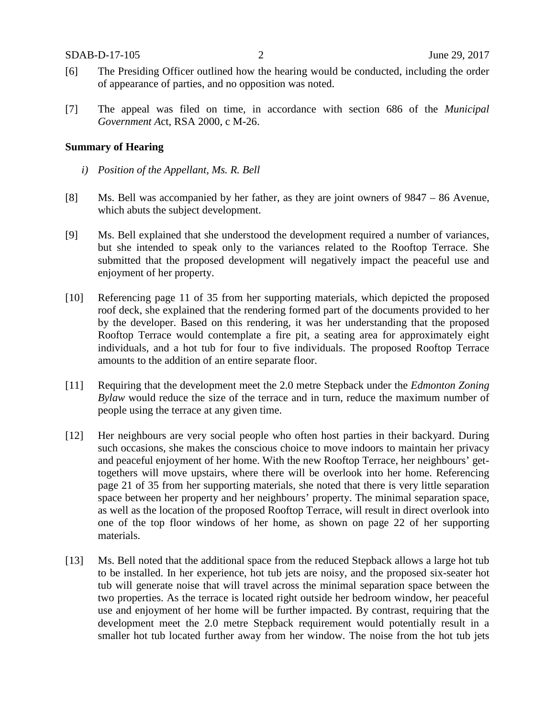- [6] The Presiding Officer outlined how the hearing would be conducted, including the order of appearance of parties, and no opposition was noted.
- [7] The appeal was filed on time, in accordance with section 686 of the *Municipal Government A*ct, RSA 2000, c M-26.

#### **Summary of Hearing**

- *i) Position of the Appellant, Ms. R. Bell*
- [8] Ms. Bell was accompanied by her father, as they are joint owners of 9847 86 Avenue, which abuts the subject development.
- [9] Ms. Bell explained that she understood the development required a number of variances, but she intended to speak only to the variances related to the Rooftop Terrace. She submitted that the proposed development will negatively impact the peaceful use and enjoyment of her property.
- [10] Referencing page 11 of 35 from her supporting materials, which depicted the proposed roof deck, she explained that the rendering formed part of the documents provided to her by the developer. Based on this rendering, it was her understanding that the proposed Rooftop Terrace would contemplate a fire pit, a seating area for approximately eight individuals, and a hot tub for four to five individuals. The proposed Rooftop Terrace amounts to the addition of an entire separate floor.
- [11] Requiring that the development meet the 2.0 metre Stepback under the *Edmonton Zoning Bylaw* would reduce the size of the terrace and in turn, reduce the maximum number of people using the terrace at any given time.
- [12] Her neighbours are very social people who often host parties in their backyard. During such occasions, she makes the conscious choice to move indoors to maintain her privacy and peaceful enjoyment of her home. With the new Rooftop Terrace, her neighbours' gettogethers will move upstairs, where there will be overlook into her home. Referencing page 21 of 35 from her supporting materials, she noted that there is very little separation space between her property and her neighbours' property. The minimal separation space, as well as the location of the proposed Rooftop Terrace, will result in direct overlook into one of the top floor windows of her home, as shown on page 22 of her supporting materials.
- [13] Ms. Bell noted that the additional space from the reduced Stepback allows a large hot tub to be installed. In her experience, hot tub jets are noisy, and the proposed six-seater hot tub will generate noise that will travel across the minimal separation space between the two properties. As the terrace is located right outside her bedroom window, her peaceful use and enjoyment of her home will be further impacted. By contrast, requiring that the development meet the 2.0 metre Stepback requirement would potentially result in a smaller hot tub located further away from her window. The noise from the hot tub jets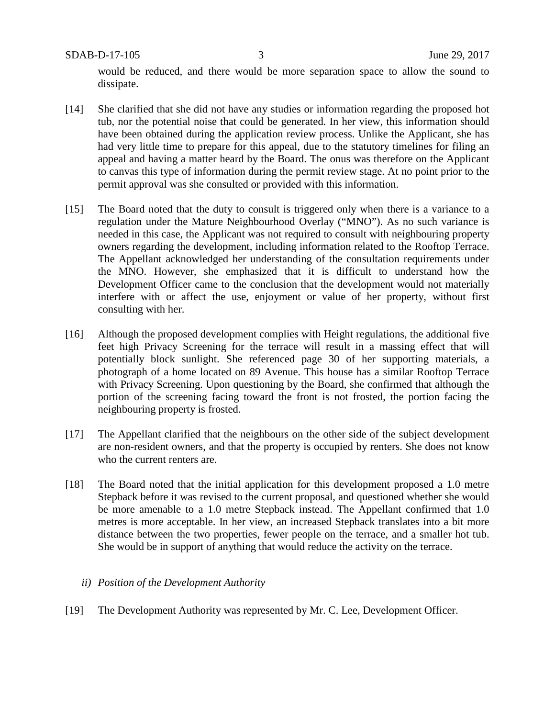SDAB-D-17-105 3 June 29, 2017

would be reduced, and there would be more separation space to allow the sound to dissipate.

- [14] She clarified that she did not have any studies or information regarding the proposed hot tub, nor the potential noise that could be generated. In her view, this information should have been obtained during the application review process. Unlike the Applicant, she has had very little time to prepare for this appeal, due to the statutory timelines for filing an appeal and having a matter heard by the Board. The onus was therefore on the Applicant to canvas this type of information during the permit review stage. At no point prior to the permit approval was she consulted or provided with this information.
- [15] The Board noted that the duty to consult is triggered only when there is a variance to a regulation under the Mature Neighbourhood Overlay ("MNO"). As no such variance is needed in this case, the Applicant was not required to consult with neighbouring property owners regarding the development, including information related to the Rooftop Terrace. The Appellant acknowledged her understanding of the consultation requirements under the MNO. However, she emphasized that it is difficult to understand how the Development Officer came to the conclusion that the development would not materially interfere with or affect the use, enjoyment or value of her property, without first consulting with her.
- [16] Although the proposed development complies with Height regulations, the additional five feet high Privacy Screening for the terrace will result in a massing effect that will potentially block sunlight. She referenced page 30 of her supporting materials, a photograph of a home located on 89 Avenue. This house has a similar Rooftop Terrace with Privacy Screening. Upon questioning by the Board, she confirmed that although the portion of the screening facing toward the front is not frosted, the portion facing the neighbouring property is frosted.
- [17] The Appellant clarified that the neighbours on the other side of the subject development are non-resident owners, and that the property is occupied by renters. She does not know who the current renters are.
- [18] The Board noted that the initial application for this development proposed a 1.0 metre Stepback before it was revised to the current proposal, and questioned whether she would be more amenable to a 1.0 metre Stepback instead. The Appellant confirmed that 1.0 metres is more acceptable. In her view, an increased Stepback translates into a bit more distance between the two properties, fewer people on the terrace, and a smaller hot tub. She would be in support of anything that would reduce the activity on the terrace.
	- *ii) Position of the Development Authority*
- [19] The Development Authority was represented by Mr. C. Lee, Development Officer.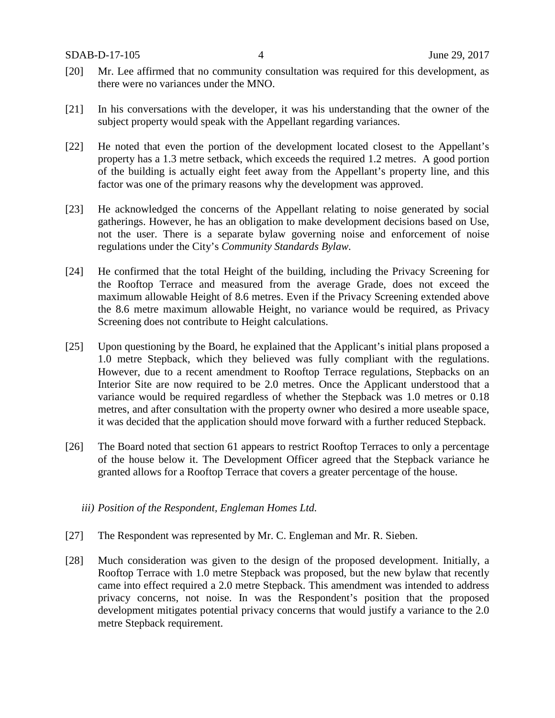- [20] Mr. Lee affirmed that no community consultation was required for this development, as there were no variances under the MNO.
- [21] In his conversations with the developer, it was his understanding that the owner of the subject property would speak with the Appellant regarding variances.
- [22] He noted that even the portion of the development located closest to the Appellant's property has a 1.3 metre setback, which exceeds the required 1.2 metres. A good portion of the building is actually eight feet away from the Appellant's property line, and this factor was one of the primary reasons why the development was approved.
- [23] He acknowledged the concerns of the Appellant relating to noise generated by social gatherings. However, he has an obligation to make development decisions based on Use, not the user. There is a separate bylaw governing noise and enforcement of noise regulations under the City's *Community Standards Bylaw.*
- [24] He confirmed that the total Height of the building, including the Privacy Screening for the Rooftop Terrace and measured from the average Grade, does not exceed the maximum allowable Height of 8.6 metres. Even if the Privacy Screening extended above the 8.6 metre maximum allowable Height, no variance would be required, as Privacy Screening does not contribute to Height calculations.
- [25] Upon questioning by the Board, he explained that the Applicant's initial plans proposed a 1.0 metre Stepback, which they believed was fully compliant with the regulations. However, due to a recent amendment to Rooftop Terrace regulations, Stepbacks on an Interior Site are now required to be 2.0 metres. Once the Applicant understood that a variance would be required regardless of whether the Stepback was 1.0 metres or 0.18 metres, and after consultation with the property owner who desired a more useable space, it was decided that the application should move forward with a further reduced Stepback.
- [26] The Board noted that section 61 appears to restrict Rooftop Terraces to only a percentage of the house below it. The Development Officer agreed that the Stepback variance he granted allows for a Rooftop Terrace that covers a greater percentage of the house.

#### *iii) Position of the Respondent, Engleman Homes Ltd.*

- [27] The Respondent was represented by Mr. C. Engleman and Mr. R. Sieben.
- [28] Much consideration was given to the design of the proposed development. Initially, a Rooftop Terrace with 1.0 metre Stepback was proposed, but the new bylaw that recently came into effect required a 2.0 metre Stepback. This amendment was intended to address privacy concerns, not noise. In was the Respondent's position that the proposed development mitigates potential privacy concerns that would justify a variance to the 2.0 metre Stepback requirement.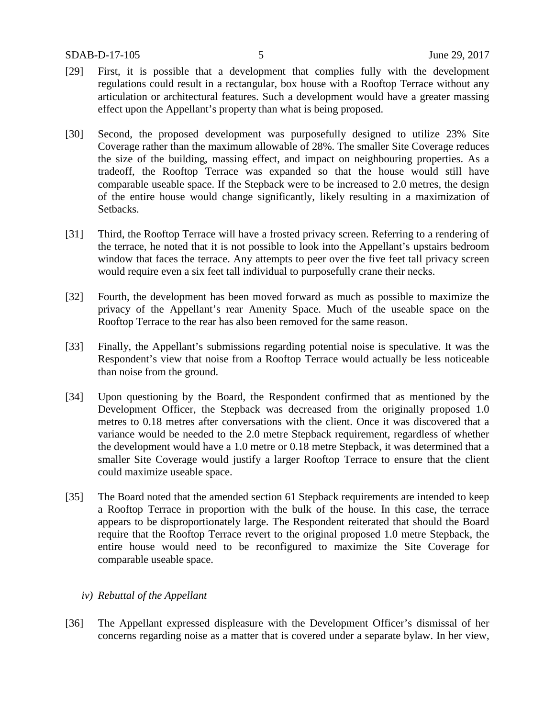- [29] First, it is possible that a development that complies fully with the development regulations could result in a rectangular, box house with a Rooftop Terrace without any articulation or architectural features. Such a development would have a greater massing effect upon the Appellant's property than what is being proposed.
- [30] Second, the proposed development was purposefully designed to utilize 23% Site Coverage rather than the maximum allowable of 28%. The smaller Site Coverage reduces the size of the building, massing effect, and impact on neighbouring properties. As a tradeoff, the Rooftop Terrace was expanded so that the house would still have comparable useable space. If the Stepback were to be increased to 2.0 metres, the design of the entire house would change significantly, likely resulting in a maximization of Setbacks.
- [31] Third, the Rooftop Terrace will have a frosted privacy screen. Referring to a rendering of the terrace, he noted that it is not possible to look into the Appellant's upstairs bedroom window that faces the terrace. Any attempts to peer over the five feet tall privacy screen would require even a six feet tall individual to purposefully crane their necks.
- [32] Fourth, the development has been moved forward as much as possible to maximize the privacy of the Appellant's rear Amenity Space. Much of the useable space on the Rooftop Terrace to the rear has also been removed for the same reason.
- [33] Finally, the Appellant's submissions regarding potential noise is speculative. It was the Respondent's view that noise from a Rooftop Terrace would actually be less noticeable than noise from the ground.
- [34] Upon questioning by the Board, the Respondent confirmed that as mentioned by the Development Officer, the Stepback was decreased from the originally proposed 1.0 metres to 0.18 metres after conversations with the client. Once it was discovered that a variance would be needed to the 2.0 metre Stepback requirement, regardless of whether the development would have a 1.0 metre or 0.18 metre Stepback, it was determined that a smaller Site Coverage would justify a larger Rooftop Terrace to ensure that the client could maximize useable space.
- [35] The Board noted that the amended section 61 Stepback requirements are intended to keep a Rooftop Terrace in proportion with the bulk of the house. In this case, the terrace appears to be disproportionately large. The Respondent reiterated that should the Board require that the Rooftop Terrace revert to the original proposed 1.0 metre Stepback, the entire house would need to be reconfigured to maximize the Site Coverage for comparable useable space.

### *iv) Rebuttal of the Appellant*

[36] The Appellant expressed displeasure with the Development Officer's dismissal of her concerns regarding noise as a matter that is covered under a separate bylaw. In her view,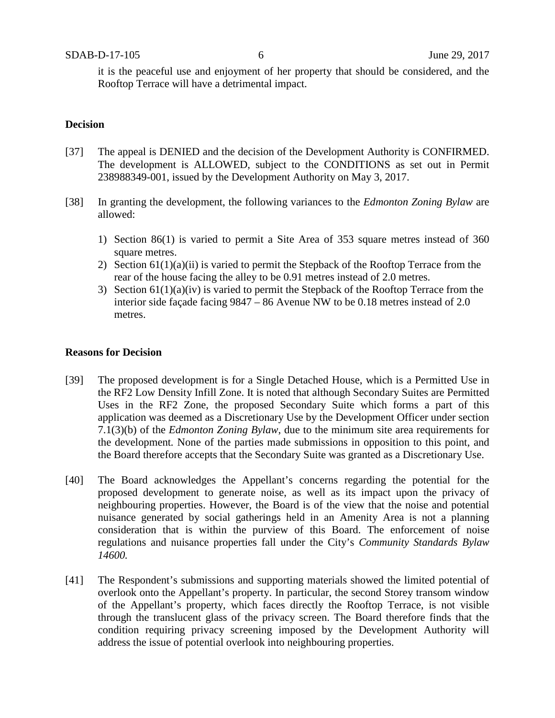it is the peaceful use and enjoyment of her property that should be considered, and the Rooftop Terrace will have a detrimental impact.

#### **Decision**

- [37] The appeal is DENIED and the decision of the Development Authority is CONFIRMED. The development is ALLOWED, subject to the CONDITIONS as set out in Permit 238988349-001, issued by the Development Authority on May 3, 2017.
- [38] In granting the development, the following variances to the *Edmonton Zoning Bylaw* are allowed:
	- 1) Section 86(1) is varied to permit a Site Area of 353 square metres instead of 360 square metres.
	- 2) Section  $61(1)(a)(ii)$  is varied to permit the Stepback of the Rooftop Terrace from the rear of the house facing the alley to be 0.91 metres instead of 2.0 metres.
	- 3) Section 61(1)(a)(iv) is varied to permit the Stepback of the Rooftop Terrace from the interior side façade facing 9847 – 86 Avenue NW to be 0.18 metres instead of 2.0 metres.

#### **Reasons for Decision**

- [39] The proposed development is for a Single Detached House, which is a Permitted Use in the RF2 Low Density Infill Zone. It is noted that although Secondary Suites are Permitted Uses in the RF2 Zone, the proposed Secondary Suite which forms a part of this application was deemed as a Discretionary Use by the Development Officer under section 7.1(3)(b) of the *Edmonton Zoning Bylaw*, due to the minimum site area requirements for the development*.* None of the parties made submissions in opposition to this point, and the Board therefore accepts that the Secondary Suite was granted as a Discretionary Use.
- [40] The Board acknowledges the Appellant's concerns regarding the potential for the proposed development to generate noise, as well as its impact upon the privacy of neighbouring properties. However, the Board is of the view that the noise and potential nuisance generated by social gatherings held in an Amenity Area is not a planning consideration that is within the purview of this Board. The enforcement of noise regulations and nuisance properties fall under the City's *Community Standards Bylaw 14600.*
- [41] The Respondent's submissions and supporting materials showed the limited potential of overlook onto the Appellant's property. In particular, the second Storey transom window of the Appellant's property, which faces directly the Rooftop Terrace, is not visible through the translucent glass of the privacy screen. The Board therefore finds that the condition requiring privacy screening imposed by the Development Authority will address the issue of potential overlook into neighbouring properties.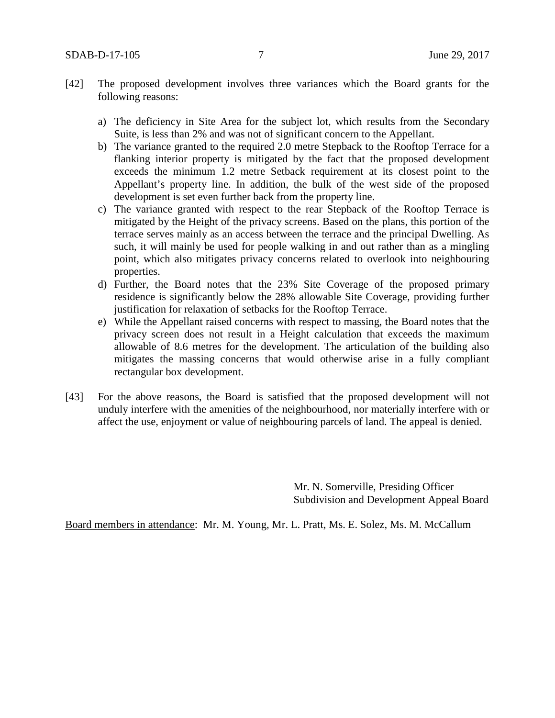- [42] The proposed development involves three variances which the Board grants for the following reasons:
	- a) The deficiency in Site Area for the subject lot, which results from the Secondary Suite, is less than 2% and was not of significant concern to the Appellant.
	- b) The variance granted to the required 2.0 metre Stepback to the Rooftop Terrace for a flanking interior property is mitigated by the fact that the proposed development exceeds the minimum 1.2 metre Setback requirement at its closest point to the Appellant's property line. In addition, the bulk of the west side of the proposed development is set even further back from the property line.
	- c) The variance granted with respect to the rear Stepback of the Rooftop Terrace is mitigated by the Height of the privacy screens. Based on the plans, this portion of the terrace serves mainly as an access between the terrace and the principal Dwelling. As such, it will mainly be used for people walking in and out rather than as a mingling point, which also mitigates privacy concerns related to overlook into neighbouring properties.
	- d) Further, the Board notes that the 23% Site Coverage of the proposed primary residence is significantly below the 28% allowable Site Coverage, providing further justification for relaxation of setbacks for the Rooftop Terrace.
	- e) While the Appellant raised concerns with respect to massing, the Board notes that the privacy screen does not result in a Height calculation that exceeds the maximum allowable of 8.6 metres for the development. The articulation of the building also mitigates the massing concerns that would otherwise arise in a fully compliant rectangular box development.
- [43] For the above reasons, the Board is satisfied that the proposed development will not unduly interfere with the amenities of the neighbourhood, nor materially interfere with or affect the use, enjoyment or value of neighbouring parcels of land. The appeal is denied.

Mr. N. Somerville, Presiding Officer Subdivision and Development Appeal Board

Board members in attendance: Mr. M. Young, Mr. L. Pratt, Ms. E. Solez, Ms. M. McCallum